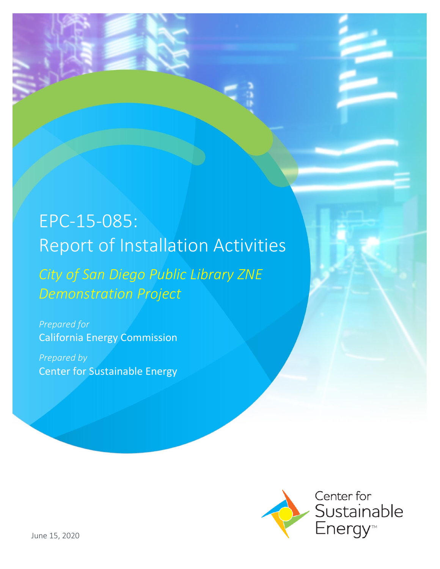# EPC-15-085: Report of Installation Activities

*City of San Diego Public Library ZNE Demonstration Project*

*Prepared for* California Energy Commission

*Prepared by* Center for Sustainable Energy

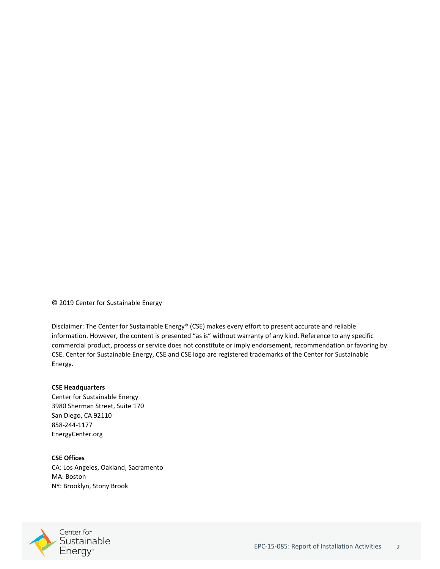© 2019 Center for Sustainable Energy

Disclaimer: The Center for Sustainable Energy® (CSE) makes every effort to present accurate and reliable information. However, the content is presented "as is" without warranty of any kind. Reference to any specific commercial product, process or service does not constitute or imply endorsement, recommendation or favoring by CSE. Center for Sustainable Energy, CSE and CSE logo are registered trademarks of the Center for Sustainable Energy.

#### **CSE Headquarters**

Center for Sustainable Energy 3980 Sherman Street, Suite 170 San Diego, CA 92110 858-244-1177 EnergyCenter.org

**CSE Offices** CA: Los Angeles, Oakland, Sacramento MA: Boston NY: Brooklyn, Stony Brook

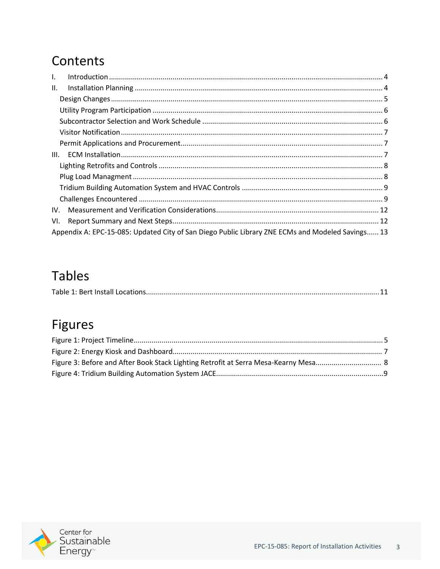## Contents

| $\mathbf{L}$ |                                                                                                  |  |  |  |  |
|--------------|--------------------------------------------------------------------------------------------------|--|--|--|--|
| Ш.           |                                                                                                  |  |  |  |  |
|              |                                                                                                  |  |  |  |  |
|              |                                                                                                  |  |  |  |  |
|              |                                                                                                  |  |  |  |  |
|              |                                                                                                  |  |  |  |  |
|              |                                                                                                  |  |  |  |  |
| III.         |                                                                                                  |  |  |  |  |
|              |                                                                                                  |  |  |  |  |
|              |                                                                                                  |  |  |  |  |
|              |                                                                                                  |  |  |  |  |
|              |                                                                                                  |  |  |  |  |
| IV.          |                                                                                                  |  |  |  |  |
| VI.          |                                                                                                  |  |  |  |  |
|              | Appendix A: EPC-15-085: Updated City of San Diego Public Library ZNE ECMs and Modeled Savings 13 |  |  |  |  |

## **Tables**

|--|

## Figures

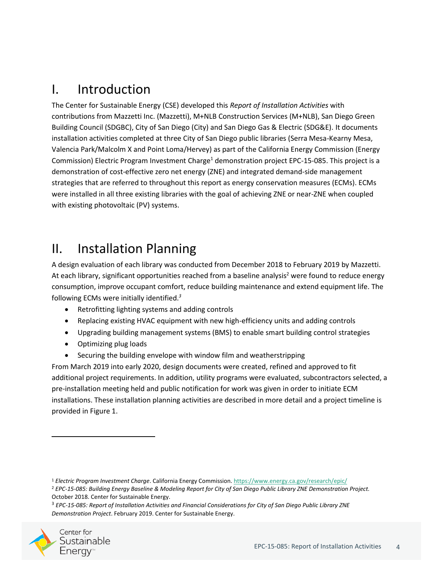## <span id="page-3-0"></span>I. Introduction

The Center for Sustainable Energy (CSE) developed this *Report of Installation Activities* with contributions from Mazzetti Inc. (Mazzetti), M+NLB Construction Services (M+NLB), San Diego Green Building Council (SDGBC), City of San Diego (City) and San Diego Gas & Electric (SDG&E). It documents installation activities completed at three City of San Diego public libraries (Serra Mesa-Kearny Mesa, Valencia Park/Malcolm X and Point Loma/Hervey) as part of the California Energy Commission (Energy Commission) Electric Program Investment Charge<sup>1</sup> demonstration project EPC-15-085. This project is a demonstration of cost-effective zero net energy (ZNE) and integrated demand-side management strategies that are referred to throughout this report as energy conservation measures (ECMs). ECMs were installed in all three existing libraries with the goal of achieving ZNE or near-ZNE when coupled with existing photovoltaic (PV) systems.

## <span id="page-3-1"></span>II. Installation Planning

A design evaluation of each library was conducted from December 2018 to February 2019 by Mazzetti. At each library, significant opportunities reached from a baseline analysis<sup>2</sup> were found to reduce energy consumption, improve occupant comfort, reduce building maintenance and extend equipment life. The following ECMs were initially identified. *3*

- Retrofitting lighting systems and adding controls
- Replacing existing HVAC equipment with new high-efficiency units and adding controls
- Upgrading building management systems (BMS) to enable smart building control strategies
- Optimizing plug loads
- Securing the building envelope with window film and weatherstripping

From March 2019 into early 2020, design documents were created, refined and approved to fit additional project requirements. In addition, utility programs were evaluated, subcontractors selected, a pre-installation meeting held and public notification for work was given in order to initiate ECM installations. These installation planning activities are described in more detail and a project timeline is provided in Figure 1.

<sup>3</sup> *EPC-15-085: Report of Installation Activities and Financial Considerations for City of San Diego Public Library ZNE Demonstration Project*. February 2019. Center for Sustainable Energy.



<sup>1</sup> *Electric Program Investment Charge*. California Energy Commission[. https://www.energy.ca.gov/research/epic/](https://www.energy.ca.gov/research/epic/) <sup>2</sup> *EPC-15-085: Building Energy Baseline & Modeling Report for City of San Diego Public Library ZNE Demonstration Project.* October 2018. Center for Sustainable Energy.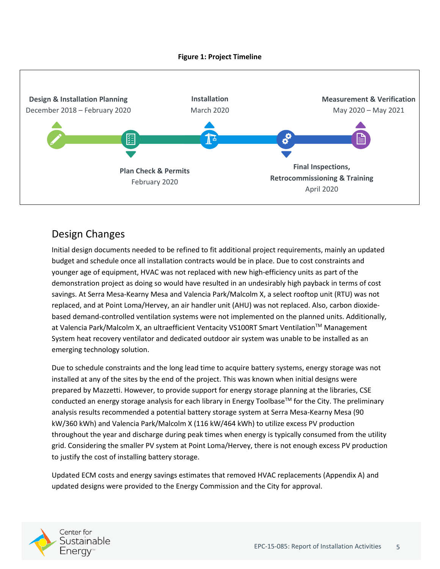#### **Figure 1: Project Timeline**



### Design Changes

Initial design documents needed to be refined to fit additional project requirements, mainly an updated budget and schedule once all installation contracts would be in place. Due to cost constraints and younger age of equipment, HVAC was not replaced with new high-efficiency units as part of the demonstration project as doing so would have resulted in an undesirably high payback in terms of cost savings. At Serra Mesa-Kearny Mesa and Valencia Park/Malcolm X, a select rooftop unit (RTU) was not replaced, and at Point Loma/Hervey, an air handler unit (AHU) was not replaced. Also, carbon dioxidebased demand-controlled ventilation systems were not implemented on the planned units. Additionally, at Valencia Park/Malcolm X, an ultraefficient Ventacity VS100RT Smart Ventilation™ Management System heat recovery ventilator and dedicated outdoor air system was unable to be installed as an emerging technology solution.

Due to schedule constraints and the long lead time to acquire battery systems, energy storage was not installed at any of the sites by the end of the project. This was known when initial designs were prepared by Mazzetti. However, to provide support for energy storage planning at the libraries, CSE conducted an energy storage analysis for each library in Energy Toolbase™ for the City. The preliminary analysis results recommended a potential battery storage system at Serra Mesa-Kearny Mesa (90 kW/360 kWh) and Valencia Park/Malcolm X (116 kW/464 kWh) to utilize excess PV production throughout the year and discharge during peak times when energy is typically consumed from the utility grid. Considering the smaller PV system at Point Loma/Hervey, there is not enough excess PV production to justify the cost of installing battery storage.

Updated ECM costs and energy savings estimates that removed HVAC replacements (Appendix A) and updated designs were provided to the Energy Commission and the City for approval.

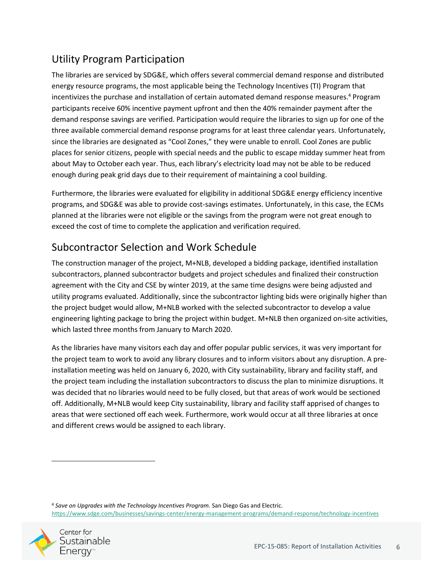### Utility Program Participation

The libraries are serviced by SDG&E, which offers several commercial demand response and distributed energy resource programs, the most applicable being the Technology Incentives (TI) Program that incentivizes the purchase and installation of certain automated demand response measures. <sup>4</sup> Program participants receive 60% incentive payment upfront and then the 40% remainder payment after the demand response savings are verified. Participation would require the libraries to sign up for one of the three available commercial demand response programs for at least three calendar years. Unfortunately, since the libraries are designated as "Cool Zones," they were unable to enroll. Cool Zones are public places for senior citizens, people with special needs and the public to escape midday summer heat from about May to October each year. Thus, each library's electricity load may not be able to be reduced enough during peak grid days due to their requirement of maintaining a cool building.

Furthermore, the libraries were evaluated for eligibility in additional SDG&E energy efficiency incentive programs, and SDG&E was able to provide cost-savings estimates. Unfortunately, in this case, the ECMs planned at the libraries were not eligible or the savings from the program were not great enough to exceed the cost of time to complete the application and verification required.

### Subcontractor Selection and Work Schedule

The construction manager of the project, M+NLB, developed a bidding package, identified installation subcontractors, planned subcontractor budgets and project schedules and finalized their construction agreement with the City and CSE by winter 2019, at the same time designs were being adjusted and utility programs evaluated. Additionally, since the subcontractor lighting bids were originally higher than the project budget would allow, M+NLB worked with the selected subcontractor to develop a value engineering lighting package to bring the project within budget. M+NLB then organized on-site activities, which lasted three months from January to March 2020.

As the libraries have many visitors each day and offer popular public services, it was very important for the project team to work to avoid any library closures and to inform visitors about any disruption. A preinstallation meeting was held on January 6, 2020, with City sustainability, library and facility staff, and the project team including the installation subcontractors to discuss the plan to minimize disruptions. It was decided that no libraries would need to be fully closed, but that areas of work would be sectioned off. Additionally, M+NLB would keep City sustainability, library and facility staff apprised of changes to areas that were sectioned off each week. Furthermore, work would occur at all three libraries at once and different crews would be assigned to each library.

<sup>4</sup> *Save on Upgrades with the Technology Incentives Program.* San Diego Gas and Electric. <https://www.sdge.com/businesses/savings-center/energy-management-programs/demand-response/technology-incentives>

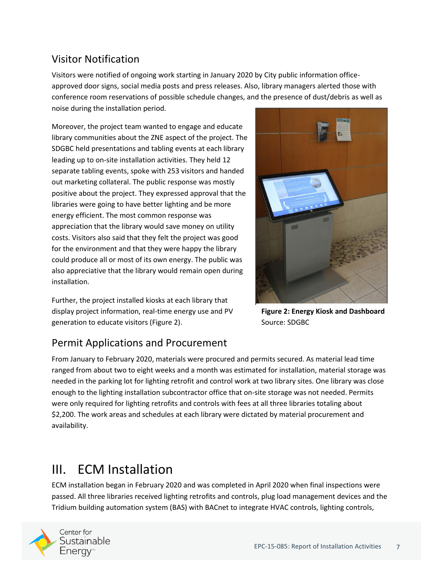### Visitor Notification

Visitors were notified of ongoing work starting in January 2020 by City public information officeapproved door signs, social media posts and press releases. Also, library managers alerted those with conference room reservations of possible schedule changes, and the presence of dust/debris as well as noise during the installation period.

Moreover, the project team wanted to engage and educate library communities about the ZNE aspect of the project. The SDGBC held presentations and tabling events at each library leading up to on-site installation activities. They held 12 separate tabling events, spoke with 253 visitors and handed out marketing collateral. The public response was mostly positive about the project. They expressed approval that the libraries were going to have better lighting and be more energy efficient. The most common response was appreciation that the library would save money on utility costs. Visitors also said that they felt the project was good for the environment and that they were happy the library could produce all or most of its own energy. The public was also appreciative that the library would remain open during installation.

Further, the project installed kiosks at each library that display project information, real-time energy use and PV generation to educate visitors (Figure 2).



**Figure 2: Energy Kiosk and Dashboard**  Source: SDGBC

### Permit Applications and Procurement

From January to February 2020, materials were procured and permits secured. As material lead time ranged from about two to eight weeks and a month was estimated for installation, material storage was needed in the parking lot for lighting retrofit and control work at two library sites. One library was close enough to the lighting installation subcontractor office that on-site storage was not needed. Permits were only required for lighting retrofits and controls with fees at all three libraries totaling about \$2,200. The work areas and schedules at each library were dictated by material procurement and availability.

## III. ECM Installation

ECM installation began in February 2020 and was completed in April 2020 when final inspections were passed. All three libraries received lighting retrofits and controls, plug load management devices and the Tridium building automation system (BAS) with BACnet to integrate HVAC controls, lighting controls,

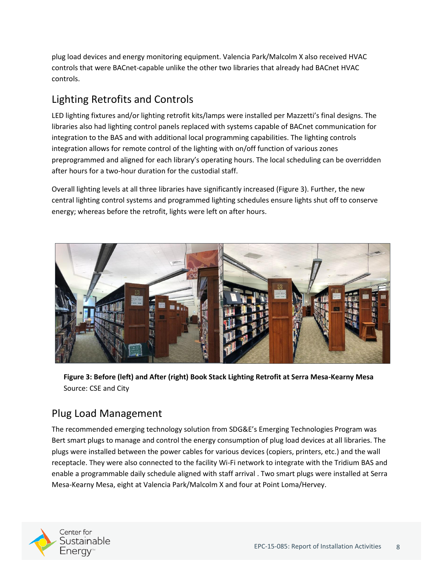plug load devices and energy monitoring equipment. Valencia Park/Malcolm X also received HVAC controls that were BACnet-capable unlike the other two libraries that already had BACnet HVAC controls.

### Lighting Retrofits and Controls

LED lighting fixtures and/or lighting retrofit kits/lamps were installed per Mazzetti's final designs. The libraries also had lighting control panels replaced with systems capable of BACnet communication for integration to the BAS and with additional local programming capabilities. The lighting controls integration allows for remote control of the lighting with on/off function of various zones preprogrammed and aligned for each library's operating hours. The local scheduling can be overridden after hours for a two-hour duration for the custodial staff.

Overall lighting levels at all three libraries have significantly increased (Figure 3). Further, the new central lighting control systems and programmed lighting schedules ensure lights shut off to conserve energy; whereas before the retrofit, lights were left on after hours.



**Figure 3: Before (left) and After (right) Book Stack Lighting Retrofit at Serra Mesa-Kearny Mesa** Source: CSE and City

#### Plug Load Management

The recommended emerging technology solution from SDG&E's Emerging Technologies Program was Bert smart plugs to manage and control the energy consumption of plug load devices at all libraries. The plugs were installed between the power cables for various devices (copiers, printers, etc.) and the wall receptacle. They were also connected to the facility Wi-Fi network to integrate with the Tridium BAS and enable a programmable daily schedule aligned with staff arrival . Two smart plugs were installed at Serra Mesa-Kearny Mesa, eight at Valencia Park/Malcolm X and four at Point Loma/Hervey.

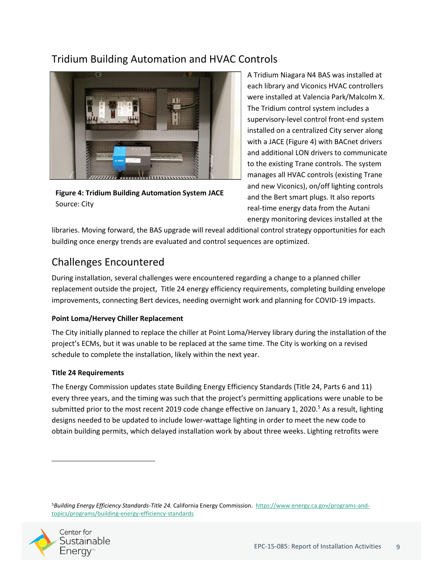### Tridium Building Automation and HVAC Controls



**Figure 4: Tridium Building Automation System JACE** Source: City

A Tridium Niagara N4 BAS was installed at each library and Viconics HVAC controllers were installed at Valencia Park/Malcolm X. The Tridium control system includes a supervisory-level control front-end system installed on a centralized City server along with a JACE (Figure 4) with BACnet drivers and additional LON drivers to communicate to the existing Trane controls. The system manages all HVAC controls (existing Trane and new Viconics), on/off lighting controls and the Bert smart plugs. It also reports real-time energy data from the Autani energy monitoring devices installed at the

libraries. Moving forward, the BAS upgrade will reveal additional control strategy opportunities for each building once energy trends are evaluated and control sequences are optimized.

### Challenges Encountered

During installation, several challenges were encountered regarding a change to a planned chiller replacement outside the project, Title 24 energy efficiency requirements, completing building envelope improvements, connecting Bert devices, needing overnight work and planning for COVID-19 impacts.

#### **Point Loma/Hervey Chiller Replacement**

The City initially planned to replace the chiller at Point Loma/Hervey library during the installation of the project's ECMs, but it was unable to be replaced at the same time. The City is working on a revised schedule to complete the installation, likely within the next year.

#### **Title 24 Requirements**

The Energy Commission updates state Building Energy Efficiency Standards (Title 24, Parts 6 and 11) every three years, and the timing was such that the project's permitting applications were unable to be submitted prior to the most recent 2019 code change effective on January 1, 2020.<sup>5</sup> As a result, lighting designs needed to be updated to include lower-wattage lighting in order to meet the new code to obtain building permits, which delayed installation work by about three weeks. Lighting retrofits were

<sup>5</sup>*Building Energy Efficiency Standards-Title 24.* California Energy Commission. [https://www.energy.ca.gov/programs-and](https://www.energy.ca.gov/programs-and-topics/programs/building-energy-efficiency-standards)[topics/programs/building-energy-efficiency-standards](https://www.energy.ca.gov/programs-and-topics/programs/building-energy-efficiency-standards)

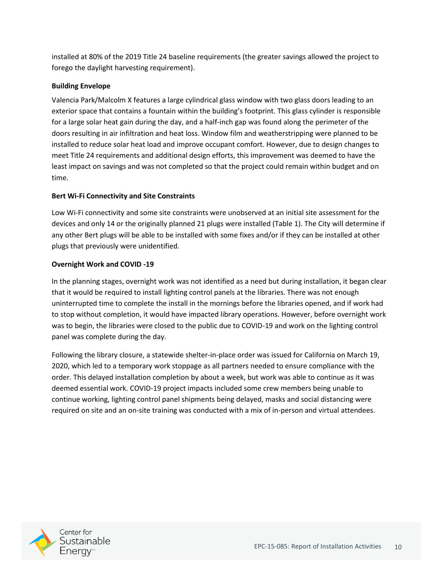installed at 80% of the 2019 Title 24 baseline requirements (the greater savings allowed the project to forego the daylight harvesting requirement).

#### **Building Envelope**

Valencia Park/Malcolm X features a large cylindrical glass window with two glass doors leading to an exterior space that contains a fountain within the building's footprint. This glass cylinder is responsible for a large solar heat gain during the day, and a half-inch gap was found along the perimeter of the doors resulting in air infiltration and heat loss. Window film and weatherstripping were planned to be installed to reduce solar heat load and improve occupant comfort. However, due to design changes to meet Title 24 requirements and additional design efforts, this improvement was deemed to have the least impact on savings and was not completed so that the project could remain within budget and on time.

#### **Bert Wi-Fi Connectivity and Site Constraints**

Low Wi-Fi connectivity and some site constraints were unobserved at an initial site assessment for the devices and only 14 or the originally planned 21 plugs were installed (Table 1). The City will determine if any other Bert plugs will be able to be installed with some fixes and/or if they can be installed at other plugs that previously were unidentified.

#### **Overnight Work and COVID -19**

In the planning stages, overnight work was not identified as a need but during installation, it began clear that it would be required to install lighting control panels at the libraries. There was not enough uninterrupted time to complete the install in the mornings before the libraries opened, and if work had to stop without completion, it would have impacted library operations. However, before overnight work was to begin, the libraries were closed to the public due to COVID-19 and work on the lighting control panel was complete during the day.

Following the library closure, a statewide shelter-in-place order was issued for California on March 19, 2020, which led to a temporary work stoppage as all partners needed to ensure compliance with the order. This delayed installation completion by about a week, but work was able to continue as it was deemed essential work. COVID-19 project impacts included some crew members being unable to continue working, lighting control panel shipments being delayed, masks and social distancing were required on site and an on-site training was conducted with a mix of in-person and virtual attendees.

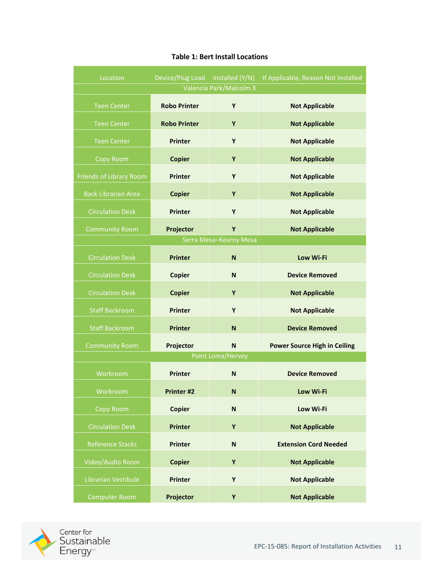| Location                   | Device/Plug Load Installed (Y/N) |                   | If Applicable, Reason Not Installed |  |  |  |  |  |
|----------------------------|----------------------------------|-------------------|-------------------------------------|--|--|--|--|--|
| Valencia Park/Malcolm X    |                                  |                   |                                     |  |  |  |  |  |
| <b>Teen Center</b>         | <b>Robo Printer</b>              | Y                 | <b>Not Applicable</b>               |  |  |  |  |  |
| <b>Teen Center</b>         | <b>Robo Printer</b>              | Y                 | <b>Not Applicable</b>               |  |  |  |  |  |
| <b>Teen Center</b>         | <b>Printer</b>                   | Y                 | <b>Not Applicable</b>               |  |  |  |  |  |
| Copy Room                  | <b>Copier</b>                    | Y                 | <b>Not Applicable</b>               |  |  |  |  |  |
| Friends of Library Room    | <b>Printer</b>                   | Y                 | <b>Not Applicable</b>               |  |  |  |  |  |
| <b>Back Librarian Area</b> | <b>Copier</b>                    | Y                 | <b>Not Applicable</b>               |  |  |  |  |  |
| <b>Circulation Desk</b>    | <b>Printer</b>                   | Y                 | <b>Not Applicable</b>               |  |  |  |  |  |
| <b>Community Room</b>      | Projector                        | Y                 | <b>Not Applicable</b>               |  |  |  |  |  |
| Serra Mesa-Kearny Mesa     |                                  |                   |                                     |  |  |  |  |  |
| <b>Circulation Desk</b>    | <b>Printer</b>                   | N                 | <b>Low Wi-Fi</b>                    |  |  |  |  |  |
| <b>Circulation Desk</b>    | <b>Copier</b>                    | N                 | <b>Device Removed</b>               |  |  |  |  |  |
| <b>Circulation Desk</b>    | <b>Copier</b>                    | Y                 | <b>Not Applicable</b>               |  |  |  |  |  |
| <b>Staff Backroom</b>      | <b>Printer</b>                   | Y                 | <b>Not Applicable</b>               |  |  |  |  |  |
| <b>Staff Backroom</b>      | <b>Printer</b>                   | N                 | <b>Device Removed</b>               |  |  |  |  |  |
| <b>Community Room</b>      | Projector                        | N                 | <b>Power Source High in Ceiling</b> |  |  |  |  |  |
|                            |                                  | Point Loma/Hervey |                                     |  |  |  |  |  |
| Workroom                   | <b>Printer</b>                   | N                 | <b>Device Removed</b>               |  |  |  |  |  |
| Workroom                   | <b>Printer #2</b>                | N                 | Low Wi-Fi                           |  |  |  |  |  |
| Copy Room                  | <b>Copier</b>                    | N                 | Low Wi-Fi                           |  |  |  |  |  |
| <b>Circulation Desk</b>    | <b>Printer</b>                   | Y                 | <b>Not Applicable</b>               |  |  |  |  |  |
| <b>Reference Stacks</b>    | <b>Printer</b>                   | $\mathbf N$       | <b>Extension Cord Needed</b>        |  |  |  |  |  |
| Video/Audio Room           | <b>Copier</b>                    | Y                 | <b>Not Applicable</b>               |  |  |  |  |  |
| Librarian Vestibule        | <b>Printer</b>                   | Y                 | <b>Not Applicable</b>               |  |  |  |  |  |
| <b>Computer Room</b>       | Projector                        | Y                 | <b>Not Applicable</b>               |  |  |  |  |  |

#### **Table 1: Bert Install Locations**

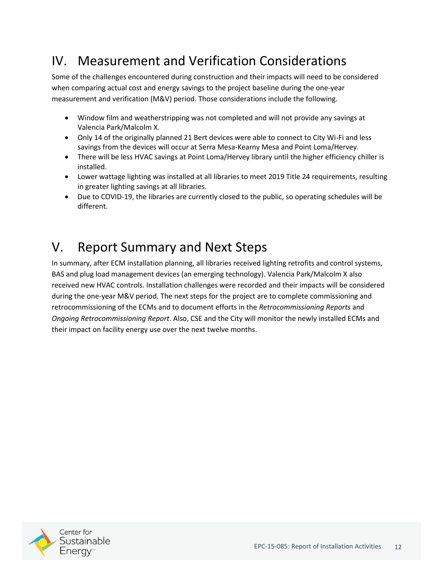## IV. Measurement and Verification Considerations

Some of the challenges encountered during construction and their impacts will need to be considered when comparing actual cost and energy savings to the project baseline during the one-year measurement and verification (M&V) period. Those considerations include the following.

- Window film and weatherstripping was not completed and will not provide any savings at Valencia Park/Malcolm X.
- Only 14 of the originally planned 21 Bert devices were able to connect to City Wi-Fi and less savings from the devices will occur at Serra Mesa-Kearny Mesa and Point Loma/Hervey.
- There will be less HVAC savings at Point Loma/Hervey library until the higher efficiency chiller is installed.
- Lower wattage lighting was installed at all libraries to meet 2019 Title 24 requirements, resulting in greater lighting savings at all libraries.
- Due to COVID-19, the libraries are currently closed to the public, so operating schedules will be different.

## <span id="page-11-0"></span>V. Report Summary and Next Steps

In summary, after ECM installation planning, all libraries received lighting retrofits and control systems, BAS and plug load management devices (an emerging technology). Valencia Park/Malcolm X also received new HVAC controls. Installation challenges were recorded and their impacts will be considered during the one-year M&V period. The next steps for the project are to complete commissioning and retrocommissioning of the ECMs and to document efforts in the *Retrocommissioning Reports* and *Ongoing Retrocommissioning Report*. Also, CSE and the City will monitor the newly installed ECMs and their impact on facility energy use over the next twelve months.

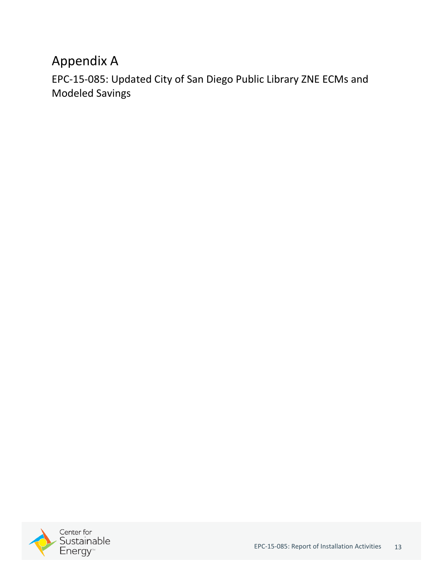## Appendix A

EPC‐15‐085: Updated City of San Diego Public Library ZNE ECMs and Modeled Savings